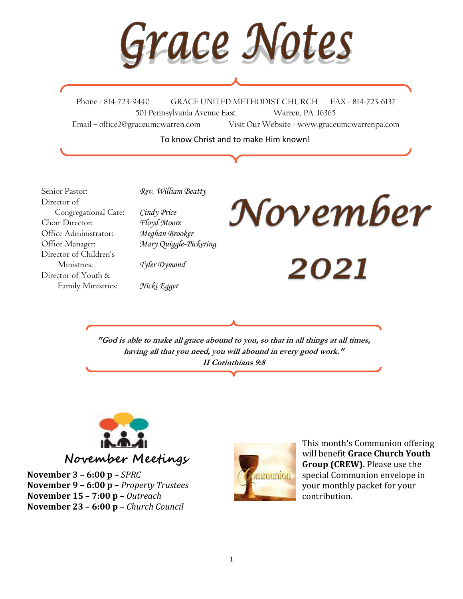$\overline{1}$ 

Phone - 814-723-9440 GRACE UNITED METHODIST CHURCH FAX - 814-723-6137 501 Pennsylvania Avenue East Warren, PA 16365 Email – office2@graceumcwarren.com Visit Our Website - www.graceumcwarrenpa.com

To know Christ and to make Him known!

Senior Pastor: *Rev. William Beatty* Director of Congregational Care: *Cindy Price* Choir Director: *Floyd Moore* Office Administrator: *Meghan Brooker* Office Manager: *Mary Quiggle-Pickering* Director of Children's Ministries: *Tyler Dymond* Director of Youth & Family Ministries: *Nicki Egger*



2021

**"God is able to make all grace abound to you, so that in all things at all times, having all that you need, you will abound in every good work." II Corinthians 9:8**



**November Meetings**

**November 3 – 6:00 p –** *SPRC* **November 9 – 6:00 p –** *Property Trustees* **November 15 – 7:00 p –** *Outreach* **November 23 – 6:00 p –** *Church Council*



This month's Communion offering will benefit **Grace Church Youth Group (CREW).** Please use the special Communion envelope in your monthly packet for your contribution.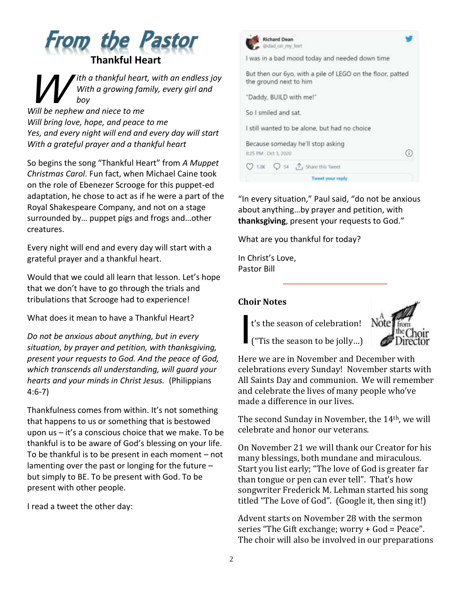



*Will bring love, hope, and peace to me Yes, and every night will end and every day will start With a grateful prayer and a thankful heart*

So begins the song "Thankful Heart" from *A Muppet Christmas Carol*. Fun fact, when Michael Caine took on the role of Ebenezer Scrooge for this puppet-ed adaptation, he chose to act as if he were a part of the Royal Shakespeare Company, and not on a stage surrounded by… puppet pigs and frogs and…other creatures.

Every night will end and every day will start with a grateful prayer and a thankful heart.

Would that we could all learn that lesson. Let's hope that we don't have to go through the trials and tribulations that Scrooge had to experience!

What does it mean to have a Thankful Heart?

*Do not be anxious about anything, but in every situation, by prayer and petition, with thanksgiving, present your requests to God. And the peace of God, which transcends all understanding, will guard your hearts and your minds in Christ Jesus.* (Philippians 4:6-7)

Thankfulness comes from within. It's not something that happens to us or something that is bestowed upon us – it's a conscious choice that we make. To be thankful is to be aware of God's blessing on your life. To be thankful is to be present in each moment – not lamenting over the past or longing for the future – but simply to BE. To be present with God. To be present with other people.

I read a tweet the other day:



"In every situation," Paul said, "do not be anxious about anything…by prayer and petition, with **thanksgiving**, present your requests to God."

What are you thankful for today?

In Christ's Love, Pastor Bill

#### **Choir Notes**



("Tis the season to be jolly…) I

Here we are in November and December with celebrations every Sunday! November starts with All Saints Day and communion. We will remember and celebrate the lives of many people who've made a difference in our lives.

The second Sunday in November, the 14th, we will celebrate and honor our veterans.

On November 21 we will thank our Creator for his many blessings, both mundane and miraculous. Start you list early; "The love of God is greater far than tongue or pen can ever tell". That's how songwriter Frederick M. Lehman started his song titled "The Love of God". (Google it, then sing it!)

Advent starts on November 28 with the sermon series "The Gift exchange; worry + God = Peace". The choir will also be involved in our preparations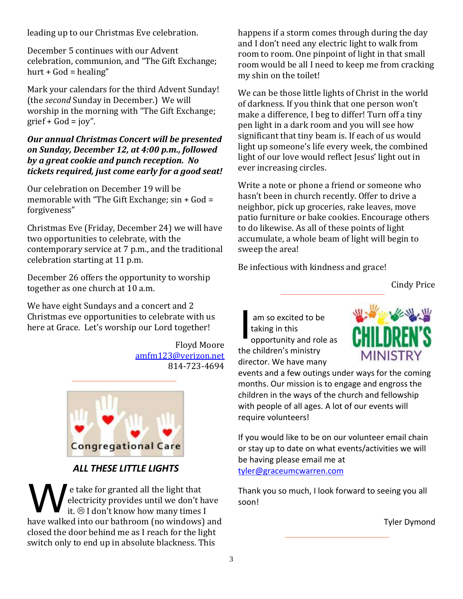leading up to our Christmas Eve celebration.

December 5 continues with our Advent celebration, communion, and "The Gift Exchange; hurt +  $God = \text{healing}$ "

Mark your calendars for the third Advent Sunday! (the *second* Sunday in December.) We will worship in the morning with "The Gift Exchange;  $grief + God = joy''$ .

### *Our annual Christmas Concert will be presented on Sunday, December 12, at 4:00 p.m., followed by a great cookie and punch reception. No tickets required, just come early for a good seat!*

Our celebration on December 19 will be memorable with "The Gift Exchange; sin + God = forgiveness"

Christmas Eve (Friday, December 24) we will have two opportunities to celebrate, with the contemporary service at 7 p.m., and the traditional celebration starting at 11 p.m.

December 26 offers the opportunity to worship together as one church at 10 a.m.

We have eight Sundays and a concert and 2 Christmas eve opportunities to celebrate with us here at Grace. Let's worship our Lord together!

> Floyd Moore [amfm123@verizon.net](mailto:amfm123@verizon.net) 814-723-4694



# *ALL THESE LITTLE LIGHTS*

e take for granted all the light that electricity provides until we don't have it.  $\odot$  I don't know how many times I have walked into our bathroom (no windows) and closed the door behind me as I reach for the light switch only to end up in absolute blackness. This e take for granted all the light that Thank<br>electricity provides until we don't have soon!<br>it. @ I don't know how many times I

happens if a storm comes through during the day and I don't need any electric light to walk from room to room. One pinpoint of light in that small room would be all I need to keep me from cracking my shin on the toilet!

We can be those little lights of Christ in the world of darkness. If you think that one person won't make a difference, I beg to differ! Turn off a tiny pen light in a dark room and you will see how significant that tiny beam is. If each of us would light up someone's life every week, the combined light of our love would reflect Jesus' light out in ever increasing circles.

Write a note or phone a friend or someone who hasn't been in church recently. Offer to drive a neighbor, pick up groceries, rake leaves, move patio furniture or bake cookies. Encourage others to do likewise. As all of these points of light accumulate, a whole beam of light will begin to sweep the area!

Be infectious with kindness and grace!

Cindy Price

am so excited to be taking in this opportunity and role as the children's ministry director. We have many I



events and a few outings under ways for the coming months. Our mission is to engage and engross the children in the ways of the church and fellowship with people of all ages. A lot of our events will require volunteers!

If you would like to be on our volunteer email chain or stay up to date on what events/activities we will be having please email me at [tyler@graceumcwarren.com](mailto:tyler@graceumcwarren.com)

Thank you so much, I look forward to seeing you all

Tyler Dymond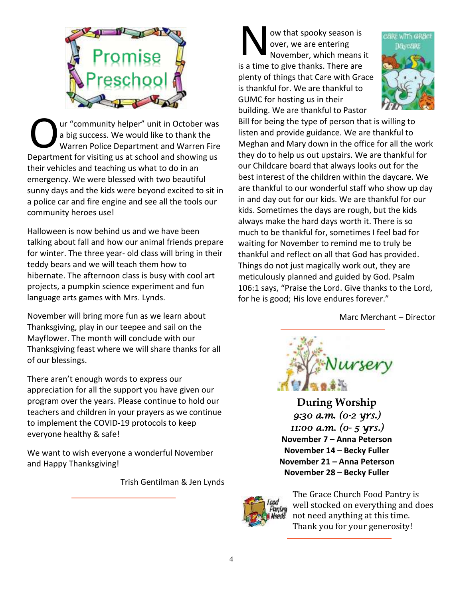

ur "community helper" unit in October was a big success. We would like to thank the Warren Police Department and Warren Fire Department for visiting us at school and showing us their vehicles and teaching us what to do in an emergency. We were blessed with two beautiful sunny days and the kids were beyond excited to sit in a police car and fire engine and see all the tools our community heroes use! O

Halloween is now behind us and we have been talking about fall and how our animal friends prepare for winter. The three year- old class will bring in their teddy bears and we will teach them how to hibernate. The afternoon class is busy with cool art projects, a pumpkin science experiment and fun language arts games with Mrs. Lynds.

November will bring more fun as we learn about Thanksgiving, play in our teepee and sail on the Mayflower. The month will conclude with our Thanksgiving feast where we will share thanks for all of our blessings.

There aren't enough words to express our appreciation for all the support you have given our program over the years. Please continue to hold our teachers and children in your prayers as we continue to implement the COVID-19 protocols to keep everyone healthy & safe!

We want to wish everyone a wonderful November and Happy Thanksgiving!

Trish Gentilman & Jen Lynds

ow that spooky season is over, we are entering November, which means it is a time to give thanks. There are plenty of things that Care with Grace is thankful for. We are thankful to GUMC for hosting us in their building. We are thankful to Pastor N



Bill for being the type of person that is willing to listen and provide guidance. We are thankful to Meghan and Mary down in the office for all the work they do to help us out upstairs. We are thankful for our Childcare board that always looks out for the best interest of the children within the daycare. We are thankful to our wonderful staff who show up day in and day out for our kids. We are thankful for our kids. Sometimes the days are rough, but the kids always make the hard days worth it. There is so much to be thankful for, sometimes I feel bad for waiting for November to remind me to truly be thankful and reflect on all that God has provided. Things do not just magically work out, they are meticulously planned and guided by God. Psalm 106:1 says, "Praise the Lord. Give thanks to the Lord, for he is good; His love endures forever."

Marc Merchant – Director



**During Worship** *9:30 a.m. (0-2 yrs.) 11:00 a.m. (0- 5 yrs.)*  **November 7 – Anna Peterson November 14 – Becky Fuller November 21 – Anna Peterson November 28 – Becky Fuller**



The Grace Church Food Pantry is well stocked on everything and does not need anything at this time. Thank you for your generosity!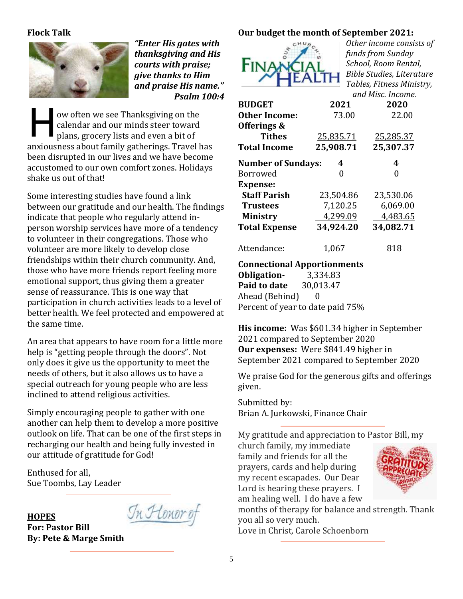### **Flock Talk**



*"Enter His gates with thanksgiving and His courts with praise; give thanks to Him and praise His name." Psalm 100:4*

ow often we see Thanksgiving on the calendar and our minds steer toward plans, grocery lists and even a bit of anxiousness about family gatherings. Travel has been disrupted in our lives and we have become accustomed to our own comfort zones. Holidays shake us out of that! H

Some interesting studies have found a link between our gratitude and our health. The findings indicate that people who regularly attend inperson worship services have more of a tendency to volunteer in their congregations. Those who volunteer are more likely to develop close friendships within their church community. And, those who have more friends report feeling more emotional support, thus giving them a greater sense of reassurance. This is one way that participation in church activities leads to a level of better health. We feel protected and empowered at the same time.

An area that appears to have room for a little more help is "getting people through the doors". Not only does it give us the opportunity to meet the needs of others, but it also allows us to have a special outreach for young people who are less inclined to attend religious activities.

Simply encouraging people to gather with one another can help them to develop a more positive outlook on life. That can be one of the first steps in recharging our health and being fully invested in our attitude of gratitude for God!

Enthused for all, Sue Toombs, Lay Leader

#### **HOPES**

<u>In Honor of</u>

**For: Pastor Bill By: Pete & Marge Smith**

## **Our budget the month of September 2021:**



*Other income consists of funds from Sunday School, Room Rental, Bible Studies, Literature Tables, Fitness Ministry, and Misc. Income.*

|                           | and Misc. Income. |           |  |  |  |
|---------------------------|-------------------|-----------|--|--|--|
| <b>BUDGET</b>             | 2021              | 2020      |  |  |  |
| <b>Other Income:</b>      | 73.00             | 22.00     |  |  |  |
| Offerings &               |                   |           |  |  |  |
| <b>Tithes</b>             | 25,835.71         | 25,285.37 |  |  |  |
| <b>Total Income</b>       | 25,908.71         | 25,307.37 |  |  |  |
| <b>Number of Sundays:</b> | 4                 | 4         |  |  |  |
| Borrowed                  | 0                 |           |  |  |  |
| <b>Expense:</b>           |                   |           |  |  |  |
| <b>Staff Parish</b>       | 23,504.86         | 23,530.06 |  |  |  |
| <b>Trustees</b>           | 7,120.25          | 6,069.00  |  |  |  |
| <b>Ministry</b>           | 4,299.09          | 4,483.65  |  |  |  |
| <b>Total Expense</b>      | 34,924.20         | 34,082.71 |  |  |  |
| Attendance:               | 1,067             | 818       |  |  |  |

#### **Connectional Apportionments**

**Obligation-** 3,334.83 **Paid to date** 30,013.47 Ahead (Behind) 0 Percent of year to date paid 75%

**His income:** Was \$601.34 higher in September 2021 compared to September 2020 **Our expenses:** Were \$841.49 higher in September 2021 compared to September 2020

We praise God for the generous gifts and offerings given.

Submitted by: Brian A. Jurkowski, Finance Chair

My gratitude and appreciation to Pastor Bill, my

church family, my immediate family and friends for all the prayers, cards and help during my recent escapades. Our Dear Lord is hearing these prayers. I am healing well. I do have a few



months of therapy for balance and strength. Thank you all so very much. Love in Christ, Carole Schoenborn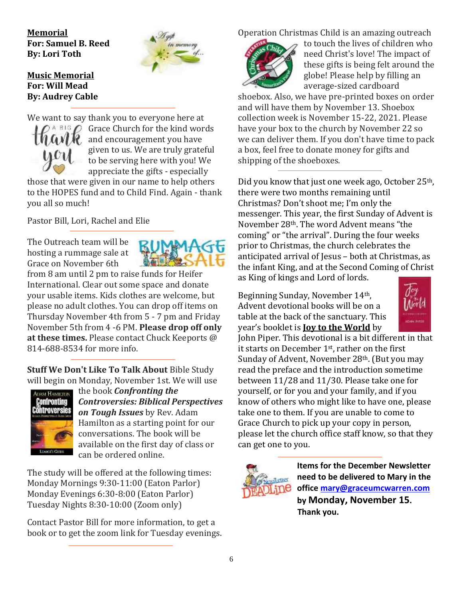**Memorial For: Samuel B. Reed By: Lori Toth**



## **Music Memorial For: Will Mead By: Audrey Cable**

We want to say thank you to everyone here at



Grace Church for the kind words and encouragement you have given to us. We are truly grateful to be serving here with you! We appreciate the gifts - especially

those that were given in our name to help others to the HOPES fund and to Child Find. Again - thank you all so much!

Pastor Bill, Lori, Rachel and Elie

The Outreach team will be hosting a rummage sale at Grace on November 6th



from 8 am until 2 pm to raise funds for Heifer International. Clear out some space and donate your usable items. Kids clothes are welcome, but please no adult clothes. You can drop off items on Thursday November 4th from 5 - 7 pm and Friday November 5th from 4 -6 PM. **Please drop off only at these times.** Please contact Chuck Keeports @ 814-688-8534 for more info.

**Stuff We Don't Like To Talk About** Bible Study will begin on Monday, November 1st. We will use



the book *Confronting the Controversies: Biblical Perspectives on Tough Issues* by Rev. Adam Hamilton as a starting point for our conversations. The book will be available on the first day of class or can be ordered online.

The study will be offered at the following times: Monday Mornings 9:30-11:00 (Eaton Parlor) Monday Evenings 6:30-8:00 (Eaton Parlor) Tuesday Nights 8:30-10:00 (Zoom only)

Contact Pastor Bill for more information, to get a book or to get the zoom link for Tuesday evenings. Operation Christmas Child is an amazing outreach



to touch the lives of children who need Christ's love! The impact of these gifts is being felt around the globe! Please help by filling an average-sized cardboard

shoebox. Also, we have pre-printed boxes on order and will have them by November 13. Shoebox collection week is November 15-22, 2021. Please have your box to the church by November 22 so we can deliver them. If you don't have time to pack a box, feel free to donate money for gifts and shipping of the shoeboxes.

Did you know that just one week ago, October 25<sup>th</sup>, there were two months remaining until Christmas? Don't shoot me; I'm only the messenger. This year, the first Sunday of Advent is November 28th. The word Advent means "the coming" or "the arrival". During the four weeks prior to Christmas, the church celebrates the anticipated arrival of Jesus – both at Christmas, as the infant King, and at the Second Coming of Christ as King of kings and Lord of lords.

Beginning Sunday, November 14th, Advent devotional books will be on a table at the back of the sanctuary. This year's booklet is **Joy to the World** by



John Piper. This devotional is a bit different in that it starts on December 1st, rather on the first Sunday of Advent, November 28<sup>th</sup>. (But you may read the preface and the introduction sometime between 11/28 and 11/30. Please take one for yourself, or for you and your family, and if you know of others who might like to have one, please take one to them. If you are unable to come to Grace Church to pick up your copy in person, please let the church office staff know, so that they can get one to you.



**Items for the December Newsletter need to be delivered to Mary in the office [mary@graceumcwarren.com](mailto:mary@graceumcwarren.com) by Monday, November 15. Thank you.**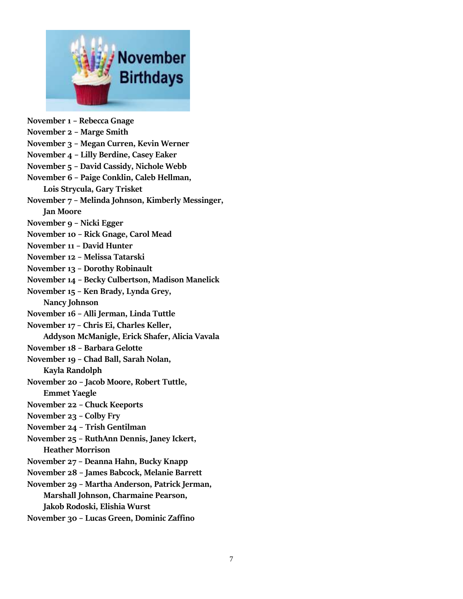

**November 1 – Rebecca Gnage November 2 – Marge Smith November 3 – Megan Curren, Kevin Werner November 4 – Lilly Berdine, Casey Eaker November 5 – David Cassidy, Nichole Webb November 6 – Paige Conklin, Caleb Hellman, Lois Strycula, Gary Trisket November 7 – Melinda Johnson, Kimberly Messinger, Jan Moore November 9 – Nicki Egger November 10 – Rick Gnage, Carol Mead November 11 – David Hunter November 12 – Melissa Tatarski November 13 – Dorothy Robinault November 14 – Becky Culbertson, Madison Manelick November 15 – Ken Brady, Lynda Grey, Nancy Johnson November 16 – Alli Jerman, Linda Tuttle November 17 – Chris Ei, Charles Keller, Addyson McManigle, Erick Shafer, Alicia Vavala November 18 – Barbara Gelotte November 19 – Chad Ball, Sarah Nolan, Kayla Randolph November 20 – Jacob Moore, Robert Tuttle, Emmet Yaegle November 22 – Chuck Keeports November 23 – Colby Fry November 24 – Trish Gentilman November 25 – RuthAnn Dennis, Janey Ickert, Heather Morrison November 27 – Deanna Hahn, Bucky Knapp November 28 – James Babcock, Melanie Barrett November 29 – Martha Anderson, Patrick Jerman, Marshall Johnson, Charmaine Pearson, Jakob Rodoski, Elishia Wurst**

**November 30 – Lucas Green, Dominic Zaffino**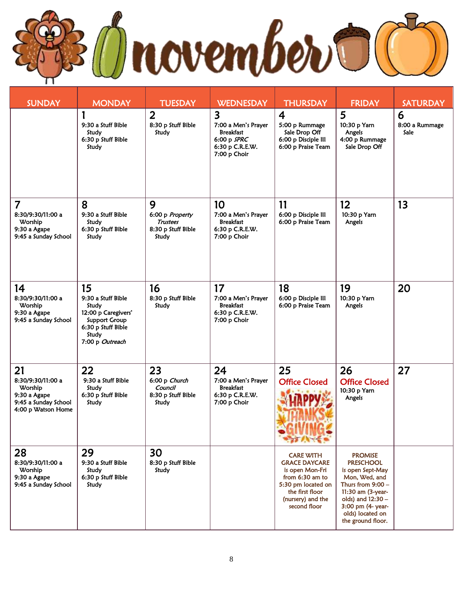L

| <b>SUNDAY</b>                                                                                    | <b>MONDAY</b>                                                                                                                      | <b>TUESDAY</b>                                                         | <b>WEDNESDAY</b>                                                                                                       | <b>THURSDAY</b>                                                                                                                                              | <b>FRIDAY</b>                                                                                                                                                                                          | <b>SATURDAY</b>             |
|--------------------------------------------------------------------------------------------------|------------------------------------------------------------------------------------------------------------------------------------|------------------------------------------------------------------------|------------------------------------------------------------------------------------------------------------------------|--------------------------------------------------------------------------------------------------------------------------------------------------------------|--------------------------------------------------------------------------------------------------------------------------------------------------------------------------------------------------------|-----------------------------|
|                                                                                                  | 9:30 a Stuff Bible<br>Study<br>6:30 p Stuff Bible<br>Study                                                                         | $\overline{2}$<br>8:30 p Stuff Bible<br>Study                          | $\overline{\mathbf{3}}$<br>7:00 a Men's Prayer<br><b>Breakfast</b><br>$6:00 p$ SPRC<br>6:30 p C.R.E.W.<br>7:00 p Choir | $\overline{4}$<br>5:00 p Rummage<br>Sale Drop Off<br>6:00 p Disciple III<br>6:00 p Praise Team                                                               | 5<br>10:30 p Yarn<br>Angels<br>4:00 p Rummage<br>Sale Drop Off                                                                                                                                         | 6<br>8:00 a Rummage<br>Sale |
| $\overline{\mathbf{7}}$<br>8:30/9:30/11:00 a<br>Worship<br>9:30 a Agape<br>9:45 a Sunday School  | 8<br>9:30 a Stuff Bible<br>Study<br>6:30 p Stuff Bible<br>Study                                                                    | 9<br>6:00 p Property<br><b>Trustees</b><br>8:30 p Stuff Bible<br>Study | 10<br>7:00 a Men's Prayer<br><b>Breakfast</b><br>6:30 p C.R.E.W.<br>7:00 p Choir                                       | 11<br>6:00 p Disciple III<br>6:00 p Praise Team                                                                                                              | 12<br>10:30 p Yarn<br>Angels                                                                                                                                                                           | 13                          |
| 14<br>8:30/9:30/11:00 a<br>Worship<br>9:30 a Agape<br>9:45 a Sunday School                       | 15<br>9:30 a Stuff Bible<br>Study<br>12:00 p Caregivers'<br><b>Support Group</b><br>6:30 p Stuff Bible<br>Study<br>7:00 p Outreach | 16<br>8:30 p Stuff Bible<br>Study                                      | 17<br>7:00 a Men's Prayer<br><b>Breakfast</b><br>6:30 p C.R.E.W.<br>7:00 p Choir                                       | 18<br>6:00 p Disciple III<br>6:00 p Praise Team                                                                                                              | 19<br>10:30 p Yarn<br>Angels                                                                                                                                                                           | 20                          |
| 21<br>8:30/9:30/11:00 a<br>Worship<br>9:30 a Agape<br>9:45 a Sunday School<br>4:00 p Watson Home | 22<br>9:30 a Stuff Bible<br>Study<br>6:30 p Stuff Bible<br>Study                                                                   | 23<br>6:00 p Church<br>Council<br>8:30 p Stuff Bible<br>Study          | 24<br>7:00 a Men's Prayer<br><b>Breakfast</b><br>6:30 p C.R.E.W.<br>7:00 p Choir                                       | 25<br><b>Office Closed</b>                                                                                                                                   | 26<br><b>Office Closed</b><br>10:30 p Yarn<br>Angels                                                                                                                                                   | 27                          |
| 28<br>8:30/9:30/11:00 a<br>Worship<br>9:30 a Agape<br>9:45 a Sunday School                       | 29<br>9:30 a Stuff Bible<br>Study<br>6:30 p Stuff Bible<br>Study                                                                   | 30<br>8:30 p Stuff Bible<br>Study                                      |                                                                                                                        | <b>CARE WITH</b><br><b>GRACE DAYCARE</b><br>is open Mon-Fri<br>from 6:30 am to<br>5:30 pm located on<br>the first floor<br>(nursery) and the<br>second floor | <b>PROMISE</b><br><b>PRESCHOOL</b><br>is open Sept-May<br>Mon, Wed, and<br>Thurs from $9:00 -$<br>11:30 am (3-year-<br>olds) and 12:30 -<br>3:00 pm (4- year-<br>olds) located on<br>the ground floor. |                             |